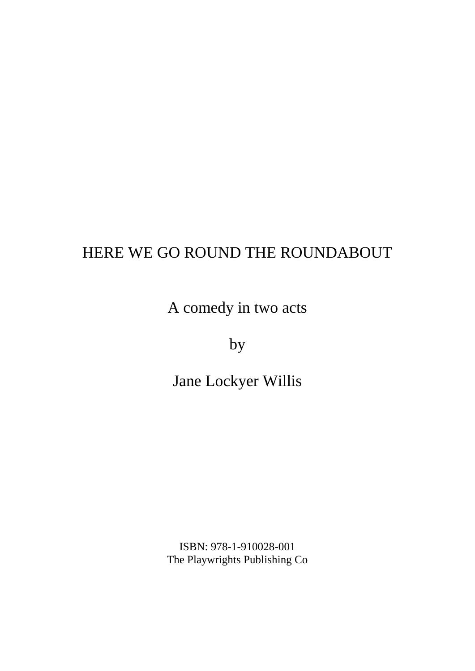A comedy in two acts

by

Jane Lockyer Willis

ISBN: 978-1-910028-001 The Playwrights Publishing Co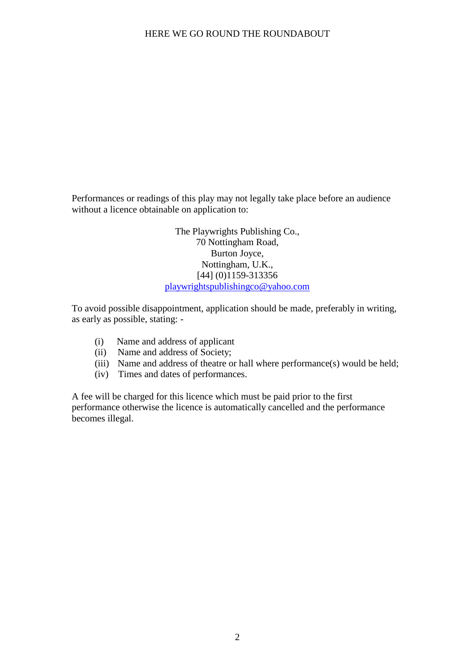Performances or readings of this play may not legally take place before an audience without a licence obtainable on application to:

> The Playwrights Publishing Co., 70 Nottingham Road, Burton Joyce, Nottingham, U.K., [44] (0)1159-313356 playwrightspublishingco@yahoo.com

To avoid possible disappointment, application should be made, preferably in writing, as early as possible, stating: -

- (i) Name and address of applicant
- (ii) Name and address of Society;
- (iii) Name and address of theatre or hall where performance(s) would be held;
- (iv) Times and dates of performances.

A fee will be charged for this licence which must be paid prior to the first performance otherwise the licence is automatically cancelled and the performance becomes illegal.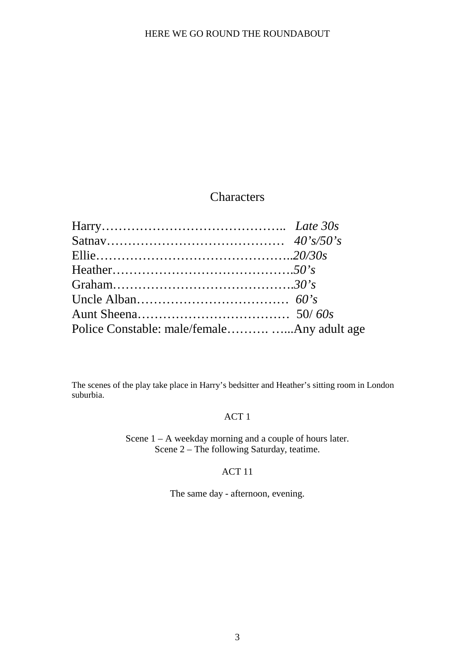# **Characters**

| Police Constable: male/femaleAny adult age |  |
|--------------------------------------------|--|

The scenes of the play take place in Harry's bedsitter and Heather's sitting room in London suburbia.

# ACT 1

Scene 1 – A weekday morning and a couple of hours later. Scene 2 – The following Saturday, teatime.

# ACT 11

The same day - afternoon, evening.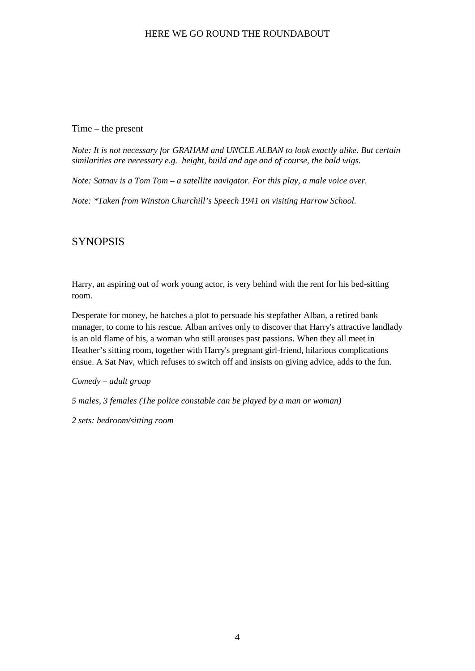#### Time – the present

*Note: It is not necessary for GRAHAM and UNCLE ALBAN to look exactly alike. But certain similarities are necessary e.g. height, build and age and of course, the bald wigs.*

*Note: Satnav is a Tom Tom – a satellite navigator. For this play, a male voice over.*

*Note: \*Taken from Winston Churchill's Speech 1941 on visiting Harrow School.*

# **SYNOPSIS**

Harry, an aspiring out of work young actor, is very behind with the rent for his bed-sitting room.

Desperate for money, he hatches a plot to persuade his stepfather Alban, a retired bank manager, to come to his rescue. Alban arrives only to discover that Harry's attractive landlady is an old flame of his, a woman who still arouses past passions. When they all meet in Heather's sitting room, together with Harry's pregnant girl-friend, hilarious complications ensue. A Sat Nav, which refuses to switch off and insists on giving advice, adds to the fun.

*Comedy – adult group*

*5 males, 3 females (The police constable can be played by a man or woman)*

*2 sets: bedroom/sitting room*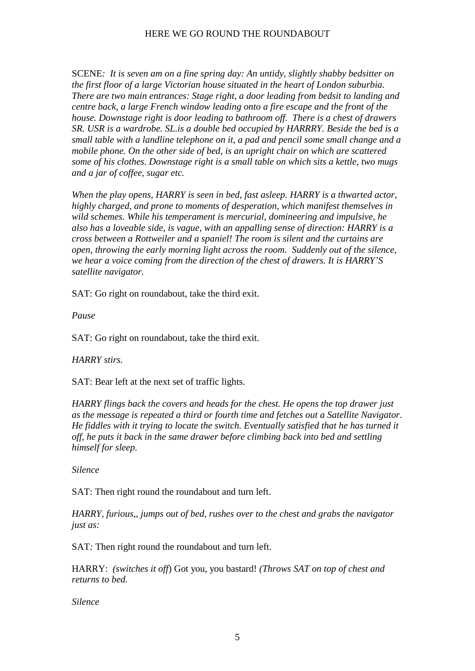SCENE*: It is seven am on a fine spring day: An untidy, slightly shabby bedsitter on the first floor of a large Victorian house situated in the heart of London suburbia. There are two main entrances: Stage right, a door leading from bedsit to landing and centre back, a large French window leading onto a fire escape and the front of the house. Downstage right is door leading to bathroom off. There is a chest of drawers SR. USR is a wardrobe. SL.is a double bed occupied by HARRRY. Beside the bed is a small table with a landline telephone on it, a pad and pencil some small change and a mobile phone. On the other side of bed, is an upright chair on which are scattered some of his clothes. Downstage right is a small table on which sits a kettle, two mugs and a jar of coffee, sugar etc.*

*When the play opens, HARRY is seen in bed, fast asleep. HARRY is a thwarted actor, highly charged, and prone to moments of desperation, which manifest themselves in wild schemes. While his temperament is mercurial, domineering and impulsive, he also has a loveable side, is vague, with an appalling sense of direction: HARRY is a cross between a Rottweiler and a spaniel! The room is silent and the curtains are open, throwing the early morning light across the room. Suddenly out of the silence, we hear a voice coming from the direction of the chest of drawers. It is HARRY'S satellite navigator.*

SAT: Go right on roundabout, take the third exit.

*Pause*

SAT: Go right on roundabout, take the third exit.

### *HARRY stirs.*

SAT: Bear left at the next set of traffic lights.

*HARRY flings back the covers and heads for the chest. He opens the top drawer just as the message is repeated a third or fourth time and fetches out a Satellite Navigator. He fiddles with it trying to locate the switch. Eventually satisfied that he has turned it off, he puts it back in the same drawer before climbing back into bed and settling himself for sleep.*

*Silence*

SAT: Then right round the roundabout and turn left.

*HARRY, furious,, jumps out of bed, rushes over to the chest and grabs the navigator just as:*

SAT*:* Then right round the roundabout and turn left.

HARRY: *(switches it off*) Got you, you bastard! *(Throws SAT on top of chest and returns to bed.*

*Silence*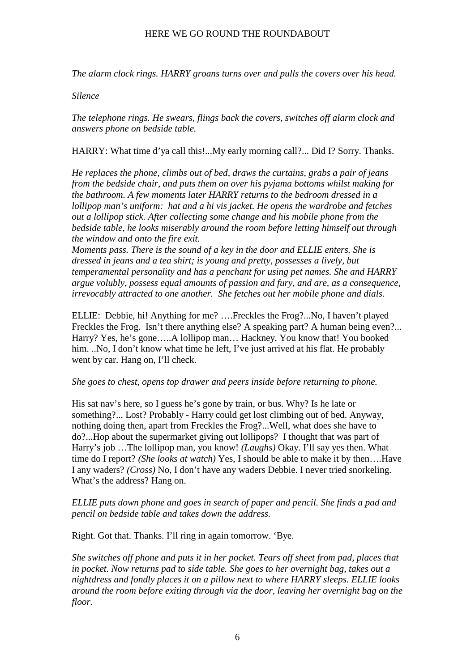*The alarm clock rings. HARRY groans turns over and pulls the covers over his head.*

#### *Silence*

*The telephone rings. He swears, flings back the covers, switches off alarm clock and answers phone on bedside table.*

HARRY: What time d'ya call this!...My early morning call?... Did I? Sorry. Thanks.

*He replaces the phone, climbs out of bed, draws the curtains, grabs a pair of jeans from the bedside chair, and puts them on over his pyjama bottoms whilst making for the bathroom. A few moments later HARRY returns to the bedroom dressed in a lollipop man's uniform: hat and a hi vis jacket. He opens the wardrobe and fetches out a lollipop stick. After collecting some change and his mobile phone from the bedside table, he looks miserably around the room before letting himself out through the window and onto the fire exit.*

*Moments pass. There is the sound of a key in the door and ELLIE enters. She is dressed in jeans and a tea shirt; is young and pretty, possesses a lively, but temperamental personality and has a penchant for using pet names. She and HARRY argue volubly, possess equal amounts of passion and fury, and are, as a consequence, irrevocably attracted to one another. She fetches out her mobile phone and dials.*

ELLIE: Debbie, hi! Anything for me? ….Freckles the Frog?...No, I haven't played Freckles the Frog. Isn't there anything else? A speaking part? A human being even?... Harry? Yes, he's gone.....A lollipop man... Hackney. You know that! You booked him. ..No, I don't know what time he left, I've just arrived at his flat. He probably went by car. Hang on, I'll check.

#### *She goes to chest, opens top drawer and peers inside before returning to phone.*

His sat nav's here, so I guess he's gone by train, or bus. Why? Is he late or something?... Lost? Probably - Harry could get lost climbing out of bed. Anyway, nothing doing then, apart from Freckles the Frog?...Well, what does she have to do?...Hop about the supermarket giving out lollipops? I thought that was part of Harry's job …The lollipop man, you know! *(Laughs)* Okay. I'll say yes then. What time do I report? *(She looks at watch)* Yes, I should be able to make it by then….Have I any waders? *(Cross)* No, I don't have any waders Debbie. I never tried snorkeling. What's the address? Hang on.

### *ELLIE puts down phone and goes in search of paper and pencil. She finds a pad and pencil on bedside table and takes down the address.*

Right. Got that. Thanks. I'll ring in again tomorrow. 'Bye.

*She switches off phone and puts it in her pocket. Tears off sheet from pad, places that in pocket. Now returns pad to side table. She goes to her overnight bag, takes out a nightdress and fondly places it on a pillow next to where HARRY sleeps. ELLIE looks around the room before exiting through via the door, leaving her overnight bag on the floor.*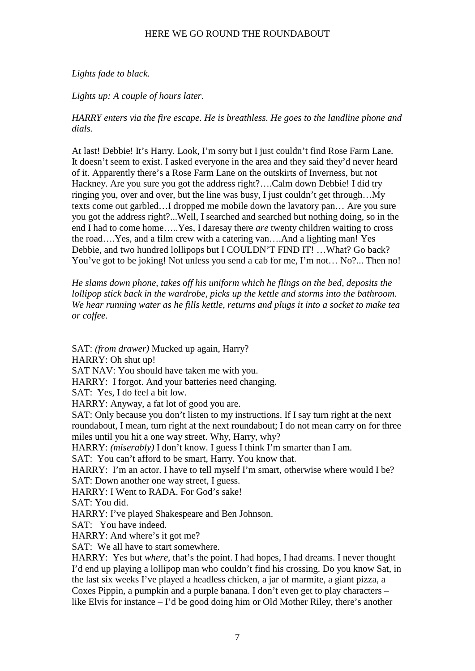# *Lights fade to black.*

*Lights up: A couple of hours later.*

*HARRY enters via the fire escape. He is breathless. He goes to the landline phone and dials.*

At last! Debbie! It's Harry. Look, I'm sorry but I just couldn't find Rose Farm Lane. It doesn't seem to exist. I asked everyone in the area and they said they'd never heard of it. Apparently there's a Rose Farm Lane on the outskirts of Inverness, but not Hackney. Are you sure you got the address right?….Calm down Debbie! I did try ringing you, over and over, but the line was busy, I just couldn't get through…My texts come out garbled…I dropped me mobile down the lavatory pan… Are you sure you got the address right?...Well, I searched and searched but nothing doing, so in the end I had to come home…..Yes, I daresay there *are* twenty children waiting to cross the road….Yes, and a film crew with a catering van….And a lighting man! Yes Debbie, and two hundred lollipops but I COULDN'T FIND IT! …What? Go back? You've got to be joking! Not unless you send a cab for me, I'm not... No?... Then no!

*He slams down phone, takes off his uniform which he flings on the bed, deposits the lollipop stick back in the wardrobe, picks up the kettle and storms into the bathroom. We hear running water as he fills kettle, returns and plugs it into a socket to make tea or coffee.*

SAT: *(from drawer)* Mucked up again, Harry?

HARRY: Oh shut up!

SAT NAV: You should have taken me with you.

HARRY: I forgot. And your batteries need changing.

SAT: Yes, I do feel a bit low.

HARRY: Anyway, a fat lot of good you are.

SAT: Only because you don't listen to my instructions. If I say turn right at the next roundabout, I mean, turn right at the next roundabout; I do not mean carry on for three miles until you hit a one way street. Why, Harry, why?

HARRY: *(miserably)* I don't know. I guess I think I'm smarter than I am.

SAT: You can't afford to be smart, Harry. You know that.

HARRY: I'm an actor. I have to tell myself I'm smart, otherwise where would I be? SAT: Down another one way street, I guess.

HARRY: I Went to RADA. For God's sake!

SAT: You did.

HARRY: I've played Shakespeare and Ben Johnson.

SAT: You have indeed.

HARRY: And where's it got me?

SAT: We all have to start somewhere.

HARRY: Yes but *where,* that's the point. I had hopes, I had dreams. I never thought I'd end up playing a lollipop man who couldn't find his crossing. Do you know Sat, in the last six weeks I've played a headless chicken, a jar of marmite, a giant pizza, a Coxes Pippin, a pumpkin and a purple banana. I don't even get to play characters – like Elvis for instance – I'd be good doing him or Old Mother Riley, there's another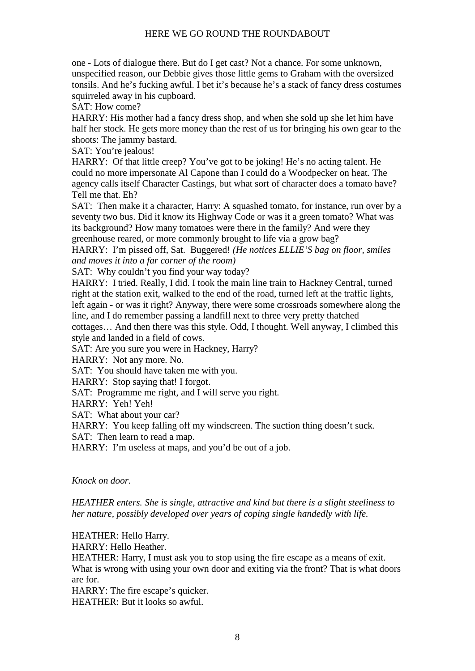one - Lots of dialogue there. But do I get cast? Not a chance. For some unknown, unspecified reason, our Debbie gives those little gems to Graham with the oversized tonsils. And he's fucking awful. I bet it's because he's a stack of fancy dress costumes squirreled away in his cupboard.

SAT: How come?

HARRY: His mother had a fancy dress shop, and when she sold up she let him have half her stock. He gets more money than the rest of us for bringing his own gear to the shoots: The jammy bastard.

SAT: You're jealous!

HARRY: Of that little creep? You've got to be joking! He's no acting talent. He could no more impersonate Al Capone than I could do a Woodpecker on heat. The agency calls itself Character Castings, but what sort of character does a tomato have? Tell me that. Eh?

SAT: Then make it a character, Harry: A squashed tomato, for instance, run over by a seventy two bus. Did it know its Highway Code or was it a green tomato? What was its background? How many tomatoes were there in the family? And were they greenhouse reared, or more commonly brought to life via a grow bag?

HARRY: I'm pissed off, Sat. Buggered! *(He notices ELLIE'S bag on floor, smiles and moves it into a far corner of the room)*

SAT: Why couldn't you find your way today?

HARRY: I tried. Really, I did. I took the main line train to Hackney Central, turned right at the station exit, walked to the end of the road, turned left at the traffic lights, left again - or was it right? Anyway, there were some crossroads somewhere along the line, and I do remember passing a landfill next to three very pretty thatched cottages… And then there was this style. Odd, I thought. Well anyway, I climbed this style and landed in a field of cows.

SAT: Are you sure you were in Hackney, Harry?

HARRY: Not any more. No.

SAT: You should have taken me with you.

HARRY: Stop saying that! I forgot.

SAT: Programme me right, and I will serve you right.

HARRY: Yeh! Yeh!

SAT: What about your car?

HARRY: You keep falling off my windscreen. The suction thing doesn't suck.

SAT: Then learn to read a map.

HARRY: I'm useless at maps, and you'd be out of a job.

### *Knock on door.*

*HEATHER enters. She is single, attractive and kind but there is a slight steeliness to her nature, possibly developed over years of coping single handedly with life.*

HEATHER: Hello Harry.

HARRY: Hello Heather.

HEATHER: Harry, I must ask you to stop using the fire escape as a means of exit. What is wrong with using your own door and exiting via the front? That is what doors are for.

HARRY: The fire escape's quicker.

HEATHER: But it looks so awful.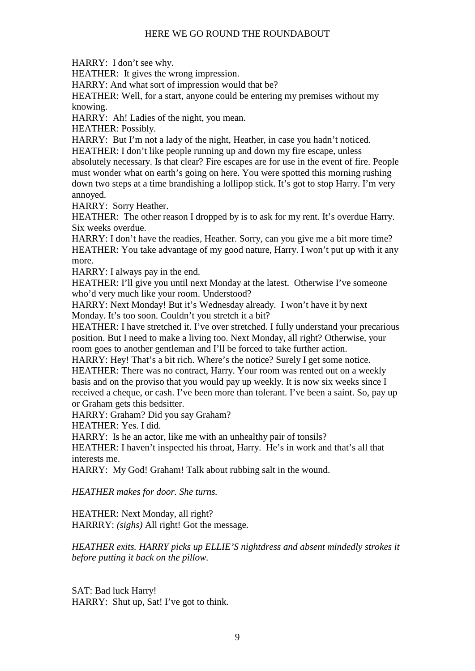HARRY: I don't see why.

HEATHER: It gives the wrong impression.

HARRY: And what sort of impression would that be?

HEATHER: Well, for a start, anyone could be entering my premises without my knowing.

HARRY: Ah! Ladies of the night, you mean.

HEATHER: Possibly.

HARRY: But I'm not a lady of the night, Heather, in case you hadn't noticed.

HEATHER: I don't like people running up and down my fire escape, unless absolutely necessary. Is that clear? Fire escapes are for use in the event of fire. People must wonder what on earth's going on here. You were spotted this morning rushing down two steps at a time brandishing a lollipop stick. It's got to stop Harry. I'm very annoyed.

HARRY: Sorry Heather.

HEATHER: The other reason I dropped by is to ask for my rent. It's overdue Harry. Six weeks overdue.

HARRY: I don't have the readies, Heather. Sorry, can you give me a bit more time? HEATHER: You take advantage of my good nature, Harry. I won't put up with it any more.

HARRY: I always pay in the end.

HEATHER: I'll give you until next Monday at the latest. Otherwise I've someone who'd very much like your room. Understood?

HARRY: Next Monday! But it's Wednesday already. I won't have it by next Monday. It's too soon. Couldn't you stretch it a bit?

HEATHER: I have stretched it. I've over stretched. I fully understand your precarious position. But I need to make a living too. Next Monday, all right? Otherwise, your room goes to another gentleman and I'll be forced to take further action.

HARRY: Hey! That's a bit rich. Where's the notice? Surely I get some notice. HEATHER: There was no contract, Harry. Your room was rented out on a weekly basis and on the proviso that you would pay up weekly. It is now six weeks since I received a cheque, or cash. I've been more than tolerant. I've been a saint. So, pay up or Graham gets this bedsitter.

HARRY: Graham? Did you say Graham?

HEATHER: Yes. I did.

HARRY: Is he an actor, like me with an unhealthy pair of tonsils?

HEATHER: I haven't inspected his throat, Harry. He's in work and that's all that interests me.

HARRY: My God! Graham! Talk about rubbing salt in the wound.

*HEATHER makes for door. She turns.*

HEATHER: Next Monday, all right? HARRRY: *(sighs)* All right! Got the message.

*HEATHER exits. HARRY picks up ELLIE'S nightdress and absent mindedly strokes it before putting it back on the pillow.*

SAT: Bad luck Harry! HARRY: Shut up, Sat! I've got to think.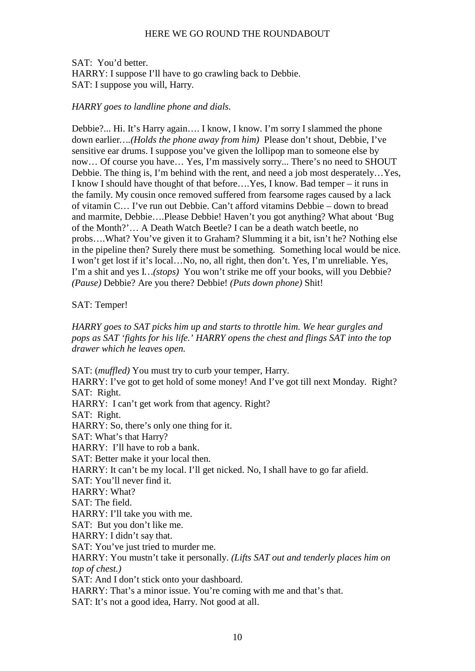SAT: You'd better. HARRY: I suppose I'll have to go crawling back to Debbie. SAT: I suppose you will, Harry.

### *HARRY goes to landline phone and dials.*

Debbie?... Hi. It's Harry again…. I know, I know. I'm sorry I slammed the phone down earlier*….(Holds the phone away from him)* Please don't shout, Debbie, I've sensitive ear drums. I suppose you've given the lollipop man to someone else by now… Of course you have… Yes, I'm massively sorry... There's no need to SHOUT Debbie. The thing is, I'm behind with the rent, and need a job most desperately…Yes, I know I should have thought of that before….Yes, I know. Bad temper – it runs in the family. My cousin once removed suffered from fearsome rages caused by a lack of vitamin C… I've run out Debbie. Can't afford vitamins Debbie – down to bread and marmite, Debbie….Please Debbie! Haven't you got anything? What about 'Bug of the Month?'… A Death Watch Beetle? I can be a death watch beetle, no probs….What? You've given it to Graham? Slumming it a bit, isn't he? Nothing else in the pipeline then? Surely there must be something. Something local would be nice. I won't get lost if it's local…No, no, all right, then don't. Yes, I'm unreliable. Yes, I'm a shit and yes I*…(stops)* You won't strike me off your books, will you Debbie? *(Pause)* Debbie? Are you there? Debbie! *(Puts down phone)* Shit!

#### SAT: Temper!

*HARRY goes to SAT picks him up and starts to throttle him. We hear gurgles and pops as SAT 'fights for his life.' HARRY opens the chest and flings SAT into the top drawer which he leaves open.*

SAT: (*muffled)* You must try to curb your temper, Harry. HARRY: I've got to get hold of some money! And I've got till next Monday. Right? SAT: Right. HARRY: I can't get work from that agency. Right? SAT: Right. HARRY: So, there's only one thing for it. SAT: What's that Harry? HARRY: I'll have to rob a bank. SAT: Better make it your local then. HARRY: It can't be my local. I'll get nicked. No. I shall have to go far afield. SAT: You'll never find it. HARRY: What? SAT: The field. HARRY: I'll take you with me. SAT: But you don't like me. HARRY: I didn't say that. SAT: You've just tried to murder me. HARRY: You mustn't take it personally. *(Lifts SAT out and tenderly places him on top of chest.)* SAT: And I don't stick onto your dashboard. HARRY: That's a minor issue. You're coming with me and that's that. SAT: It's not a good idea, Harry. Not good at all.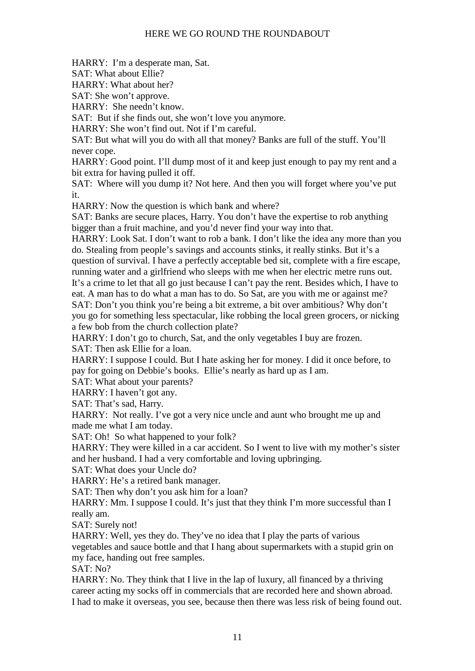HARRY: I'm a desperate man, Sat.

SAT: What about Ellie?

HARRY: What about her?

SAT: She won't approve.

HARRY: She needn't know.

SAT: But if she finds out, she won't love you anymore.

HARRY: She won't find out. Not if I'm careful.

SAT: But what will you do with all that money? Banks are full of the stuff. You'll never cope.

HARRY: Good point. I'll dump most of it and keep just enough to pay my rent and a bit extra for having pulled it off.

SAT: Where will you dump it? Not here. And then you will forget where you've put it.

HARRY: Now the question is which bank and where?

SAT: Banks are secure places, Harry. You don't have the expertise to rob anything bigger than a fruit machine, and you'd never find your way into that.

HARRY: Look Sat. I don't want to rob a bank. I don't like the idea any more than you do. Stealing from people's savings and accounts stinks, it really stinks. But it's a question of survival. I have a perfectly acceptable bed sit, complete with a fire escape,

running water and a girlfriend who sleeps with me when her electric metre runs out. It's a crime to let that all go just because I can't pay the rent. Besides which, I have to eat. A man has to do what a man has to do. So Sat, are you with me or against me? SAT: Don't you think you're being a bit extreme, a bit over ambitious? Why don't you go for something less spectacular, like robbing the local green grocers, or nicking a few bob from the church collection plate?

HARRY: I don't go to church, Sat, and the only vegetables I buy are frozen.

SAT: Then ask Ellie for a loan.

HARRY: I suppose I could. But I hate asking her for money. I did it once before, to pay for going on Debbie's books. Ellie's nearly as hard up as I am.

SAT: What about your parents?

HARRY: I haven't got any.

SAT: That's sad, Harry.

HARRY: Not really. I've got a very nice uncle and aunt who brought me up and made me what I am today.

SAT: Oh! So what happened to your folk?

HARRY: They were killed in a car accident. So I went to live with my mother's sister and her husband. I had a very comfortable and loving upbringing.

SAT: What does your Uncle do?

HARRY: He's a retired bank manager.

SAT: Then why don't you ask him for a loan?

HARRY: Mm. I suppose I could. It's just that they think I'm more successful than I really am.

SAT: Surely not!

HARRY: Well, yes they do. They've no idea that I play the parts of various vegetables and sauce bottle and that I hang about supermarkets with a stupid grin on my face, handing out free samples.

SAT: No?

HARRY: No. They think that I live in the lap of luxury, all financed by a thriving career acting my socks off in commercials that are recorded here and shown abroad. I had to make it overseas, you see, because then there was less risk of being found out.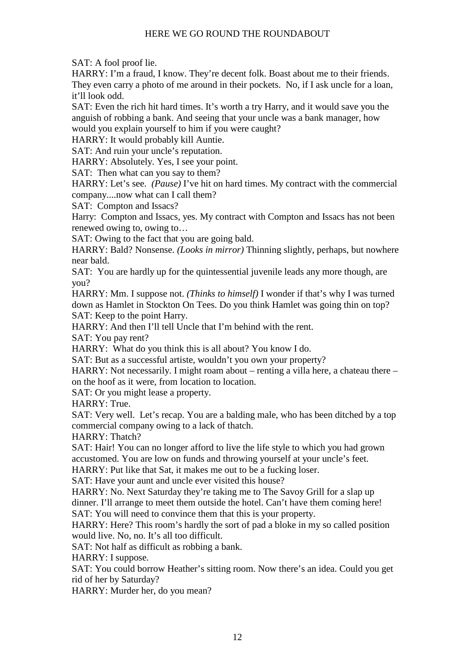SAT: A fool proof lie.

HARRY: I'm a fraud, I know. They're decent folk. Boast about me to their friends. They even carry a photo of me around in their pockets. No, if I ask uncle for a loan, it'll look odd.

SAT: Even the rich hit hard times. It's worth a try Harry, and it would save you the anguish of robbing a bank. And seeing that your uncle was a bank manager, how would you explain yourself to him if you were caught?

HARRY: It would probably kill Auntie.

SAT: And ruin your uncle's reputation.

HARRY: Absolutely. Yes, I see your point.

SAT: Then what can you say to them?

HARRY: Let's see. *(Pause)* I've hit on hard times. My contract with the commercial company....now what can I call them?

SAT: Compton and Issacs?

Harry: Compton and Issacs, yes. My contract with Compton and Issacs has not been renewed owing to, owing to…

SAT: Owing to the fact that you are going bald.

HARRY: Bald? Nonsense. *(Looks in mirror)* Thinning slightly, perhaps, but nowhere near bald.

SAT: You are hardly up for the quintessential juvenile leads any more though, are you?

HARRY: Mm. I suppose not. *(Thinks to himself)* I wonder if that's why I was turned down as Hamlet in Stockton On Tees. Do you think Hamlet was going thin on top? SAT: Keep to the point Harry.

HARRY: And then I'll tell Uncle that I'm behind with the rent.

SAT: You pay rent?

HARRY: What do you think this is all about? You know I do.

SAT: But as a successful artiste, wouldn't you own your property?

HARRY: Not necessarily. I might roam about – renting a villa here, a chateau there – on the hoof as it were, from location to location.

SAT: Or you might lease a property.

HARRY: True.

SAT: Very well. Let's recap. You are a balding male, who has been ditched by a top commercial company owing to a lack of thatch.

HARRY: Thatch?

SAT: Hair! You can no longer afford to live the life style to which you had grown accustomed. You are low on funds and throwing yourself at your uncle's feet.

HARRY: Put like that Sat, it makes me out to be a fucking loser.

SAT: Have your aunt and uncle ever visited this house?

HARRY: No. Next Saturday they're taking me to The Savoy Grill for a slap up dinner. I'll arrange to meet them outside the hotel. Can't have them coming here! SAT: You will need to convince them that this is your property.

HARRY: Here? This room's hardly the sort of pad a bloke in my so called position would live. No, no. It's all too difficult.

SAT: Not half as difficult as robbing a bank.

HARRY: I suppose.

SAT: You could borrow Heather's sitting room. Now there's an idea. Could you get rid of her by Saturday?

HARRY: Murder her, do you mean?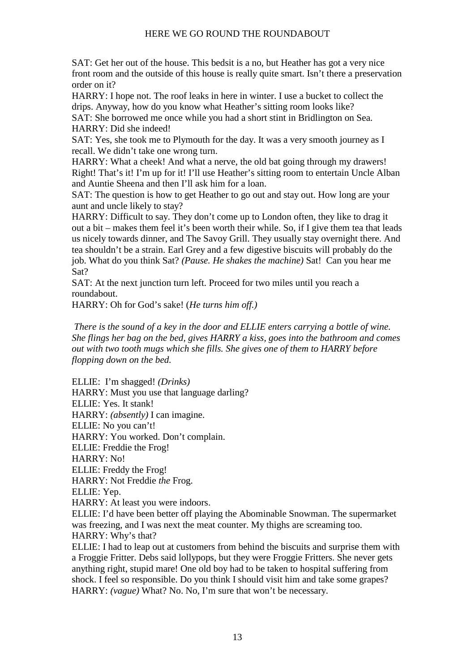SAT: Get her out of the house. This bedsit is a no, but Heather has got a very nice front room and the outside of this house is really quite smart. Isn't there a preservation order on it?

HARRY: I hope not. The roof leaks in here in winter. I use a bucket to collect the drips. Anyway, how do you know what Heather's sitting room looks like?

SAT: She borrowed me once while you had a short stint in Bridlington on Sea. HARRY: Did she indeed!

SAT: Yes, she took me to Plymouth for the day. It was a very smooth journey as I recall. We didn't take one wrong turn.

HARRY: What a cheek! And what a nerve, the old bat going through my drawers! Right! That's it! I'm up for it! I'll use Heather's sitting room to entertain Uncle Alban and Auntie Sheena and then I'll ask him for a loan.

SAT: The question is how to get Heather to go out and stay out. How long are your aunt and uncle likely to stay?

HARRY: Difficult to say. They don't come up to London often, they like to drag it out a bit – makes them feel it's been worth their while. So, if I give them tea that leads us nicely towards dinner, and The Savoy Grill. They usually stay overnight there. And tea shouldn't be a strain. Earl Grey and a few digestive biscuits will probably do the job. What do you think Sat? *(Pause. He shakes the machine)* Sat! Can you hear me Sat?

SAT: At the next junction turn left. Proceed for two miles until you reach a roundabout.

HARRY: Oh for God's sake! (*He turns him off.)*

 *There is the sound of a key in the door and ELLIE enters carrying a bottle of wine. She flings her bag on the bed, gives HARRY a kiss, goes into the bathroom and comes out with two tooth mugs which she fills. She gives one of them to HARRY before flopping down on the bed.*

ELLIE: I'm shagged! *(Drinks)* HARRY: Must you use that language darling? ELLIE: Yes. It stank! HARRY: *(absently)* I can imagine. ELLIE: No you can't! HARRY: You worked. Don't complain. ELLIE: Freddie the Frog! HARRY: No! ELLIE: Freddy the Frog! HARRY: Not Freddie *the* Frog. ELLIE: Yep. HARRY: At least you were indoors. ELLIE: I'd have been better off playing the Abominable Snowman. The supermarket was freezing, and I was next the meat counter. My thighs are screaming too. HARRY: Why's that? ELLIE: I had to leap out at customers from behind the biscuits and surprise them with

a Froggie Fritter. Debs said lollypops, but they were Froggie Fritters. She never gets anything right, stupid mare! One old boy had to be taken to hospital suffering from shock. I feel so responsible. Do you think I should visit him and take some grapes? HARRY: *(vague)* What? No. No, I'm sure that won't be necessary.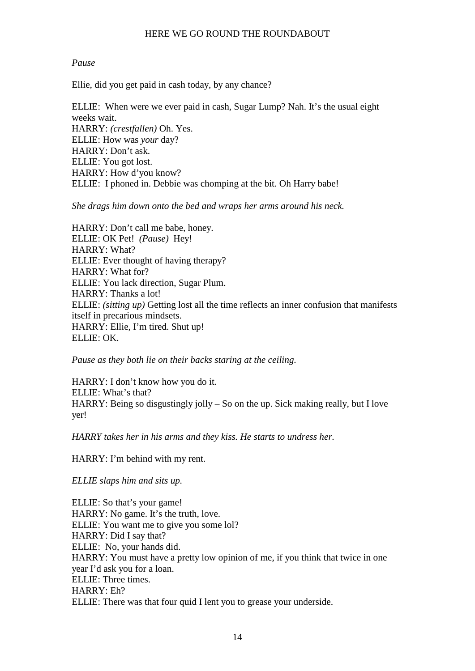# *Pause*

Ellie, did you get paid in cash today, by any chance?

ELLIE: When were we ever paid in cash, Sugar Lump? Nah. It's the usual eight weeks wait. HARRY: *(crestfallen)* Oh. Yes. ELLIE: How was *your* day? HARRY: Don't ask. ELLIE: You got lost. HARRY: How d'you know? ELLIE: I phoned in. Debbie was chomping at the bit. Oh Harry babe!

*She drags him down onto the bed and wraps her arms around his neck.*

HARRY: Don't call me babe, honey. ELLIE: OK Pet! *(Pause)* Hey! HARRY: What? ELLIE: Ever thought of having therapy? HARRY: What for? ELLIE: You lack direction, Sugar Plum. HARRY: Thanks a lot! ELLIE: *(sitting up)* Getting lost all the time reflects an inner confusion that manifests itself in precarious mindsets. HARRY: Ellie, I'm tired. Shut up! ELLIE: OK.

*Pause as they both lie on their backs staring at the ceiling.*

HARRY: I don't know how you do it. ELLIE: What's that? HARRY: Being so disgustingly jolly – So on the up. Sick making really, but I love yer!

*HARRY takes her in his arms and they kiss. He starts to undress her.*

HARRY: I'm behind with my rent.

*ELLIE slaps him and sits up.*

ELLIE: So that's your game! HARRY: No game. It's the truth, love. ELLIE: You want me to give you some lol? HARRY: Did I say that? ELLIE: No, your hands did. HARRY: You must have a pretty low opinion of me, if you think that twice in one year I'd ask you for a loan. ELLIE: Three times. HARRY: Eh? ELLIE: There was that four quid I lent you to grease your underside.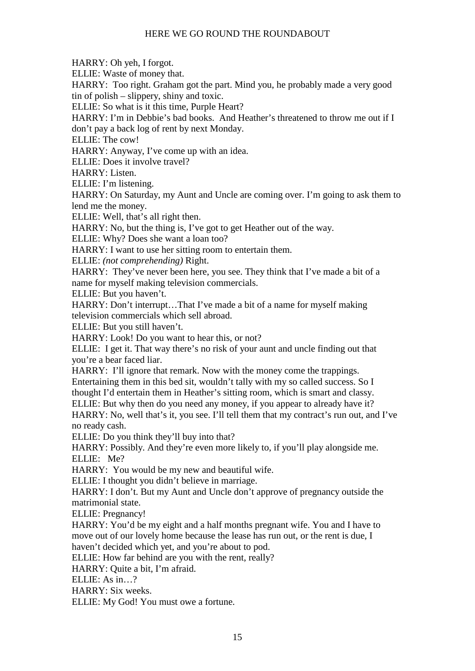HARRY: Oh yeh, I forgot.

ELLIE: Waste of money that.

HARRY: Too right. Graham got the part. Mind you, he probably made a very good tin of polish – slippery, shiny and toxic.

ELLIE: So what is it this time, Purple Heart?

HARRY: I'm in Debbie's bad books. And Heather's threatened to throw me out if I don't pay a back log of rent by next Monday.

ELLIE: The cow!

HARRY: Anyway, I've come up with an idea.

ELLIE: Does it involve travel?

HARRY: Listen.

ELLIE: I'm listening.

HARRY: On Saturday, my Aunt and Uncle are coming over. I'm going to ask them to lend me the money.

ELLIE: Well, that's all right then.

HARRY: No, but the thing is, I've got to get Heather out of the way.

ELLIE: Why? Does she want a loan too?

HARRY: I want to use her sitting room to entertain them.

ELLIE: *(not comprehending)* Right.

HARRY: They've never been here, you see. They think that I've made a bit of a name for myself making television commercials.

ELLIE: But you haven't.

HARRY: Don't interrupt…That I've made a bit of a name for myself making television commercials which sell abroad.

ELLIE: But you still haven't.

HARRY: Look! Do you want to hear this, or not?

ELLIE: I get it. That way there's no risk of your aunt and uncle finding out that you're a bear faced liar.

HARRY: I'll ignore that remark. Now with the money come the trappings.

Entertaining them in this bed sit, wouldn't tally with my so called success. So I thought I'd entertain them in Heather's sitting room, which is smart and classy.

ELLIE: But why then do you need any money, if you appear to already have it?

HARRY: No, well that's it, you see. I'll tell them that my contract's run out, and I've no ready cash.

ELLIE: Do you think they'll buy into that?

HARRY: Possibly. And they're even more likely to, if you'll play alongside me. ELLIE: Me?

HARRY: You would be my new and beautiful wife.

ELLIE: I thought you didn't believe in marriage.

HARRY: I don't. But my Aunt and Uncle don't approve of pregnancy outside the matrimonial state.

ELLIE: Pregnancy!

HARRY: You'd be my eight and a half months pregnant wife. You and I have to move out of our lovely home because the lease has run out, or the rent is due, I haven't decided which yet, and you're about to pod.

ELLIE: How far behind are you with the rent, really?

HARRY: Quite a bit, I'm afraid.

ELLIE: As in…?

HARRY: Six weeks.

ELLIE: My God! You must owe a fortune.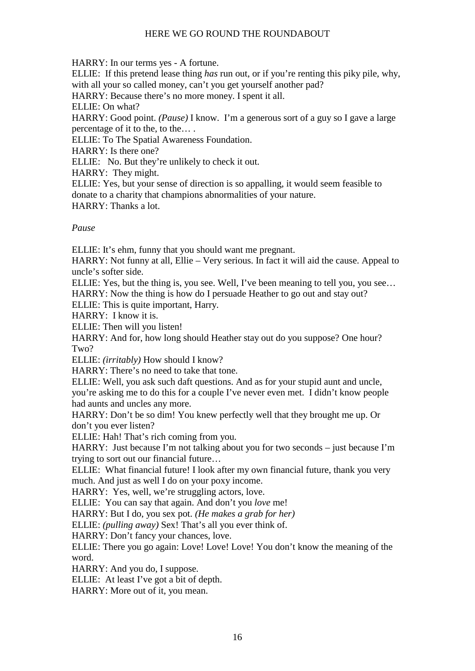HARRY: In our terms yes - A fortune.

ELLIE: If this pretend lease thing *has* run out, or if you're renting this piky pile, why, with all your so called money, can't you get yourself another pad?

HARRY: Because there's no more money. I spent it all.

ELLIE: On what?

HARRY: Good point. *(Pause)* I know. I'm a generous sort of a guy so I gave a large percentage of it to the, to the… .

ELLIE: To The Spatial Awareness Foundation.

HARRY: Is there one?

ELLIE: No. But they're unlikely to check it out.

HARRY: They might.

ELLIE: Yes, but your sense of direction is so appalling, it would seem feasible to donate to a charity that champions abnormalities of your nature.

HARRY: Thanks a lot.

# *Pause*

ELLIE: It's ehm, funny that you should want me pregnant.

HARRY: Not funny at all, Ellie – Very serious. In fact it will aid the cause. Appeal to uncle's softer side.

ELLIE: Yes, but the thing is, you see. Well, I've been meaning to tell you, you see… HARRY: Now the thing is how do I persuade Heather to go out and stay out?

ELLIE: This is quite important, Harry.

HARRY: I know it is.

ELLIE: Then will you listen!

HARRY: And for, how long should Heather stay out do you suppose? One hour? Two?

ELLIE: *(irritably)* How should I know?

HARRY: There's no need to take that tone.

ELLIE: Well, you ask such daft questions. And as for your stupid aunt and uncle, you're asking me to do this for a couple I've never even met. I didn't know people had aunts and uncles any more.

HARRY: Don't be so dim! You knew perfectly well that they brought me up. Or don't you ever listen?

ELLIE: Hah! That's rich coming from you.

HARRY: Just because I'm not talking about you for two seconds – just because I'm trying to sort out our financial future…

ELLIE: What financial future! I look after my own financial future, thank you very much. And just as well I do on your poxy income.

HARRY: Yes, well, we're struggling actors, love.

ELLIE: You can say that again. And don't you *love* me!

HARRY: But I do, you sex pot. *(He makes a grab for her)*

ELLIE: *(pulling away)* Sex! That's all you ever think of.

HARRY: Don't fancy your chances, love.

ELLIE: There you go again: Love! Love! Love! You don't know the meaning of the word.

HARRY: And you do, I suppose.

ELLIE: At least I've got a bit of depth.

HARRY: More out of it, you mean.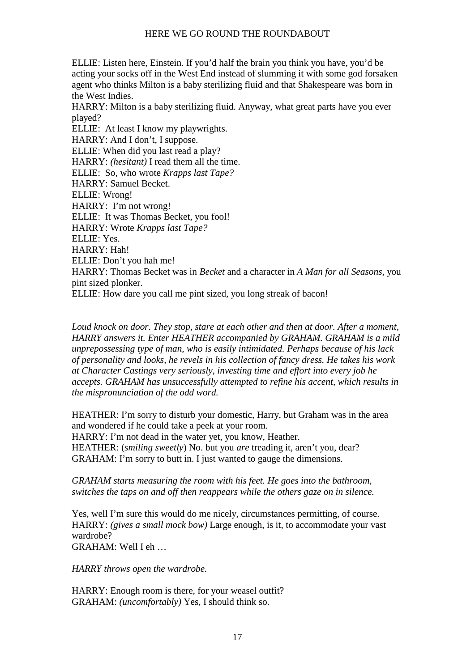ELLIE: Listen here, Einstein. If you'd half the brain you think you have, you'd be acting your socks off in the West End instead of slumming it with some god forsaken agent who thinks Milton is a baby sterilizing fluid and that Shakespeare was born in the West Indies.

HARRY: Milton is a baby sterilizing fluid. Anyway, what great parts have you ever played?

ELLIE: At least I know my playwrights. HARRY: And I don't, I suppose. ELLIE: When did you last read a play? HARRY: *(hesitant)* I read them all the time. ELLIE: So, who wrote *Krapps last Tape?* HARRY: Samuel Becket. ELLIE: Wrong! HARRY: I'm not wrong! ELLIE: It was Thomas Becket, you fool! HARRY: Wrote *Krapps last Tape?* ELLIE: Yes. HARRY: Hah! ELLIE: Don't you hah me! HARRY: Thomas Becket was in *Becket* and a character in *A Man for all Seasons,* you pint sized plonker.

ELLIE: How dare you call me pint sized, you long streak of bacon!

*Loud knock on door. They stop, stare at each other and then at door. After a moment, HARRY answers it. Enter HEATHER accompanied by GRAHAM. GRAHAM is a mild unprepossessing type of man, who is easily intimidated. Perhaps because of his lack of personality and looks, he revels in his collection of fancy dress. He takes his work at Character Castings very seriously, investing time and effort into every job he accepts. GRAHAM has unsuccessfully attempted to refine his accent, which results in the mispronunciation of the odd word.*

HEATHER: I'm sorry to disturb your domestic, Harry, but Graham was in the area and wondered if he could take a peek at your room.

HARRY: I'm not dead in the water yet, you know, Heather.

HEATHER: (*smiling sweetly*) No. but you *are* treading it, aren't you, dear? GRAHAM: I'm sorry to butt in. I just wanted to gauge the dimensions.

*GRAHAM starts measuring the room with his feet. He goes into the bathroom, switches the taps on and off then reappears while the others gaze on in silence.*

Yes, well I'm sure this would do me nicely, circumstances permitting, of course. HARRY: *(gives a small mock bow)* Large enough, is it, to accommodate your vast wardrobe?  $GRAHAM: Well$  I eh

*HARRY throws open the wardrobe.*

HARRY: Enough room is there, for your weasel outfit? GRAHAM: *(uncomfortably)* Yes, I should think so.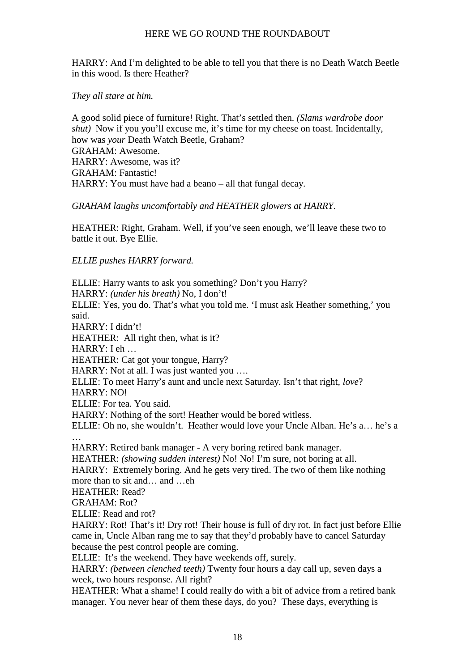HARRY: And I'm delighted to be able to tell you that there is no Death Watch Beetle in this wood. Is there Heather?

# *They all stare at him.*

A good solid piece of furniture! Right. That's settled then. *(Slams wardrobe door shut*) Now if you you'll excuse me, it's time for my cheese on toast. Incidentally, how was *your* Death Watch Beetle, Graham? GRAHAM: Awesome. HARRY: Awesome, was it? GRAHAM: Fantastic! HARRY: You must have had a beano – all that fungal decay.

# *GRAHAM laughs uncomfortably and HEATHER glowers at HARRY.*

HEATHER: Right, Graham. Well, if you've seen enough, we'll leave these two to battle it out. Bye Ellie.

# *ELLIE pushes HARRY forward.*

ELLIE: Harry wants to ask you something? Don't you Harry? HARRY: *(under his breath)* No, I don't! ELLIE: Yes, you do. That's what you told me. 'I must ask Heather something,' you said. HARRY: I didn't! HEATHER: All right then, what is it? HARRY: I eh … HEATHER: Cat got your tongue, Harry? HARRY: Not at all. I was just wanted you .... ELLIE: To meet Harry's aunt and uncle next Saturday. Isn't that right, *love*? HARRY: NO! ELLIE: For tea. You said. HARRY: Nothing of the sort! Heather would be bored witless. ELLIE: Oh no, she wouldn't. Heather would love your Uncle Alban. He's a… he's a … HARRY: Retired bank manager - A very boring retired bank manager. HEATHER: *(showing sudden interest)* No! No! I'm sure, not boring at all. HARRY: Extremely boring. And he gets very tired. The two of them like nothing more than to sit and… and …eh HEATHER: Read? GRAHAM: Rot? ELLIE: Read and rot? HARRY: Rot! That's it! Dry rot! Their house is full of dry rot. In fact just before Ellie came in, Uncle Alban rang me to say that they'd probably have to cancel Saturday because the pest control people are coming. ELLIE: It's the weekend. They have weekends off, surely. HARRY: *(between clenched teeth)* Twenty four hours a day call up, seven days a week, two hours response. All right? HEATHER: What a shame! I could really do with a bit of advice from a retired bank manager. You never hear of them these days, do you? These days, everything is